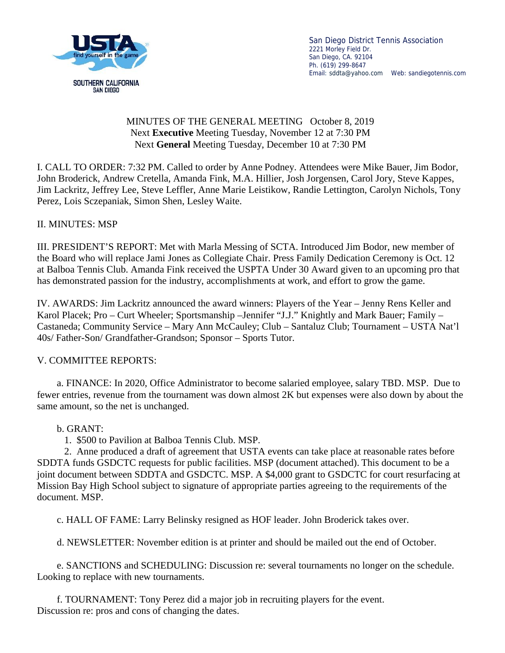

San Diego District Tennis Association 2221 Morley Field Dr. San Diego, CA. 92104 Ph. (619) 299-8647 Email: sddta@yahoo.com Web: sandiegotennis.com

## MINUTES OF THE GENERAL MEETING October 8, 2019 Next **Executive** Meeting Tuesday, November 12 at 7:30 PM Next **General** Meeting Tuesday, December 10 at 7:30 PM

I. CALL TO ORDER: 7:32 PM. Called to order by Anne Podney. Attendees were Mike Bauer, Jim Bodor, John Broderick, Andrew Cretella, Amanda Fink, M.A. Hillier, Josh Jorgensen, Carol Jory, Steve Kappes, Jim Lackritz, Jeffrey Lee, Steve Leffler, Anne Marie Leistikow, Randie Lettington, Carolyn Nichols, Tony Perez, Lois Sczepaniak, Simon Shen, Lesley Waite.

## II. MINUTES: MSP

III. PRESIDENT'S REPORT: Met with Marla Messing of SCTA. Introduced Jim Bodor, new member of the Board who will replace Jami Jones as Collegiate Chair. Press Family Dedication Ceremony is Oct. 12 at Balboa Tennis Club. Amanda Fink received the USPTA Under 30 Award given to an upcoming pro that has demonstrated passion for the industry, accomplishments at work, and effort to grow the game.

IV. AWARDS: Jim Lackritz announced the award winners: Players of the Year – Jenny Rens Keller and Karol Placek; Pro – Curt Wheeler; Sportsmanship –Jennifer "J.J." Knightly and Mark Bauer; Family – Castaneda; Community Service – Mary Ann McCauley; Club – Santaluz Club; Tournament – USTA Nat'l 40s/ Father-Son/ Grandfather-Grandson; Sponsor – Sports Tutor.

## V. COMMITTEE REPORTS:

a. FINANCE: In 2020, Office Administrator to become salaried employee, salary TBD. MSP. Due to fewer entries, revenue from the tournament was down almost 2K but expenses were also down by about the same amount, so the net is unchanged.

## b. GRANT:

1. \$500 to Pavilion at Balboa Tennis Club. MSP.

2. Anne produced a draft of agreement that USTA events can take place at reasonable rates before SDDTA funds GSDCTC requests for public facilities. MSP (document attached). This document to be a joint document between SDDTA and GSDCTC. MSP. A \$4,000 grant to GSDCTC for court resurfacing at Mission Bay High School subject to signature of appropriate parties agreeing to the requirements of the document. MSP.

c. HALL OF FAME: Larry Belinsky resigned as HOF leader. John Broderick takes over.

d. NEWSLETTER: November edition is at printer and should be mailed out the end of October.

e. SANCTIONS and SCHEDULING: Discussion re: several tournaments no longer on the schedule. Looking to replace with new tournaments.

f. TOURNAMENT: Tony Perez did a major job in recruiting players for the event. Discussion re: pros and cons of changing the dates.